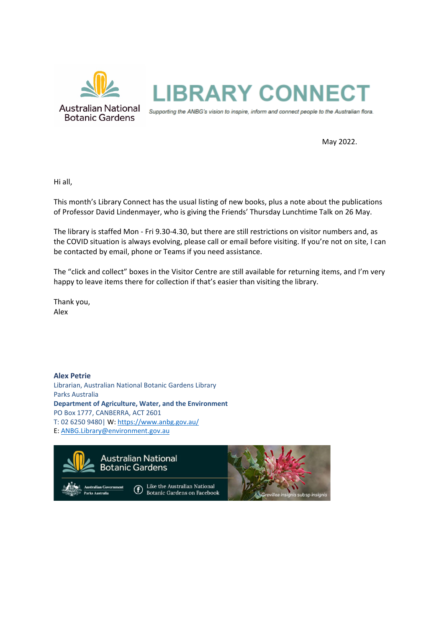

May 2022.

Hi all,

This month's Library Connect has the usual listing of new books, plus a note about the publications of Professor David Lindenmayer, who is giving the Friends' Thursday Lunchtime Talk on 26 May.

The library is staffed Mon - Fri 9.30-4.30, but there are still restrictions on visitor numbers and, as the COVID situation is always evolving, please call or email before visiting. If you're not on site, I can be contacted by email, phone or Teams if you need assistance.

The "click and collect" boxes in the Visitor Centre are still available for returning items, and I'm very happy to leave items there for collection if that's easier than visiting the library.

Thank you, Alex

**Alex Petrie** Librarian, Australian National Botanic Gardens Library Parks Australia **Department of Agriculture, Water, and the Environment** PO Box 1777, CANBERRA, ACT 2601 T: 02 6250 9480| W[: https://www.anbg.gov.au/](https://www.anbg.gov.au/) E: [ANBG.Library@environment.gov.au](mailto:ANBG.Library@environment.gov.au)

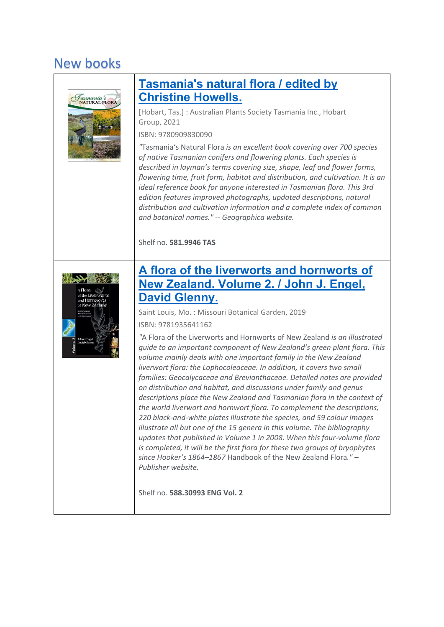# New books



### **[Tasmania's natural flora /](https://library.awe.gov.au/cgi-bin/koha/opac-detail.pl?biblionumber=33595) edited by [Christine Howells.](https://library.awe.gov.au/cgi-bin/koha/opac-detail.pl?biblionumber=33595)**

[Hobart, Tas.] : Australian Plants Society Tasmania Inc., Hobart Group, 2021

ISBN: 9780909830090

*"*Tasmania's Natural Flora *is an excellent book covering over 700 species of native Tasmanian conifers and flowering plants. Each species is described in layman's terms covering size, shape, leaf and flower forms, flowering time, fruit form, habitat and distribution, and cultivation. It is an ideal reference book for anyone interested in Tasmanian flora. This 3rd edition features improved photographs, updated descriptions, natural distribution and cultivation information and a complete index of common and botanical names." -- Geographica website.*

Shelf no. **581.9946 TAS**



### **[A flora of the liverworts and hornworts of](https://library.awe.gov.au/cgi-bin/koha/opac-detail.pl?biblionumber=30681)  New Zealand. [Volume 2. / John J. Engel,](https://library.awe.gov.au/cgi-bin/koha/opac-detail.pl?biblionumber=30681)  [David Glenny.](https://library.awe.gov.au/cgi-bin/koha/opac-detail.pl?biblionumber=30681)**

Saint Louis, Mo. : Missouri Botanical Garden, 2019

ISBN: 9781935641162

*"*A Flora of the Liverworts and Hornworts of New Zealand *is an illustrated guide to an important component of New Zealand's green plant flora. This volume mainly deals with one important family in the New Zealand liverwort flora: the Lophocoleaceae. In addition, it covers two small families: Geocalycaceae and Brevianthaceae. Detailed notes are provided on distribution and habitat, and discussions under family and genus descriptions place the New Zealand and Tasmanian flora in the context of the world liverwort and hornwort flora. To complement the descriptions, 220 black-and-white plates illustrate the species, and 59 colour images illustrate all but one of the 15 genera in this volume. The bibliography updates that published in Volume 1 in 2008. When this four-volume flora is completed, it will be the first flora for these two groups of bryophytes since Hooker's 1864–1867* Handbook of the New Zealand Flora*." – Publisher website.*

Shelf no. **588.30993 ENG Vol. 2**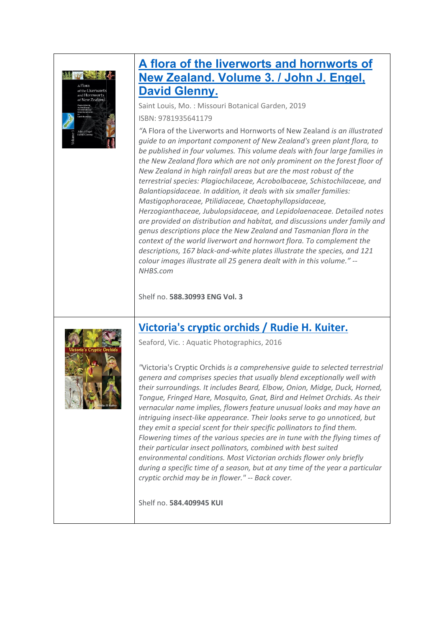

## **[A flora of the liverworts and hornworts of](https://library.awe.gov.au/cgi-bin/koha/opac-detail.pl?biblionumber=30681)  New Zealand. [Volume 3. / John J. Engel,](https://library.awe.gov.au/cgi-bin/koha/opac-detail.pl?biblionumber=30681)  [David Glenny.](https://library.awe.gov.au/cgi-bin/koha/opac-detail.pl?biblionumber=30681)**

Saint Louis, Mo. : Missouri Botanical Garden, 2019

ISBN: 9781935641179

*"*A Flora of the Liverworts and Hornworts of New Zealand *is an illustrated guide to an important component of New Zealand's green plant flora, to be published in four volumes. This volume deals with four large families in the New Zealand flora which are not only prominent on the forest floor of New Zealand in high rainfall areas but are the most robust of the terrestrial species: Plagiochilaceae, Acrobolbaceae, Schistochilaceae, and Balantiopsidaceae. In addition, it deals with six smaller families: Mastigophoraceae, Ptilidiaceae, Chaetophyllopsidaceae, Herzogianthaceae, Jubulopsidaceae, and Lepidolaenaceae. Detailed notes are provided on distribution and habitat, and discussions under family and genus descriptions place the New Zealand and Tasmanian flora in the context of the world liverwort and hornwort flora. To complement the descriptions, 167 black-and-white plates illustrate the species, and 121 colour images illustrate all 25 genera dealt with in this volume." -- NHBS.com*

Shelf no. **588.30993 ENG Vol. 3**

### **[Victoria's cryptic orchids /](https://library.awe.gov.au/cgi-bin/koha/opac-detail.pl?biblionumber=33596) Rudie H. Kuiter.**



Seaford, Vic. : Aquatic Photographics, 2016

*"*Victoria's Cryptic Orchids *is a comprehensive guide to selected terrestrial genera and comprises species that usually blend exceptionally well with their surroundings. It includes Beard, Elbow, Onion, Midge, Duck, Horned, Tongue, Fringed Hare, Mosquito, Gnat, Bird and Helmet Orchids. As their vernacular name implies, flowers feature unusual looks and may have an intriguing insect-like appearance. Their looks serve to go unnoticed, but they emit a special scent for their specific pollinators to find them. Flowering times of the various species are in tune with the flying times of their particular insect pollinators, combined with best suited environmental conditions. Most Victorian orchids flower only briefly during a specific time of a season, but at any time of the year a particular cryptic orchid may be in flower." -- Back cover.*

Shelf no. **584.409945 KUI**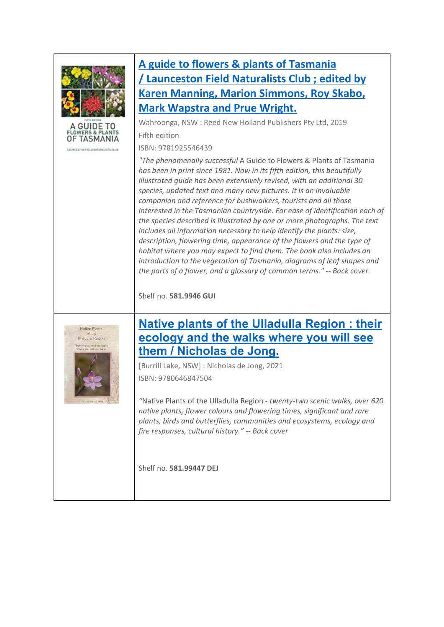



ADVERSION FILE O NATURAL ISTS CLUB

## **[A guide to flowers & plants of Tasmania](https://library.awe.gov.au/cgi-bin/koha/opac-detail.pl?biblionumber=33600)  / [Launceston Field Naturalists Club ; edited by](https://library.awe.gov.au/cgi-bin/koha/opac-detail.pl?biblionumber=33600)  [Karen Manning, Marion Simmons, Roy Skabo,](https://library.awe.gov.au/cgi-bin/koha/opac-detail.pl?biblionumber=33600)  [Mark Wapstra and Prue Wright.](https://library.awe.gov.au/cgi-bin/koha/opac-detail.pl?biblionumber=33600)**

Wahroonga, NSW : Reed New Holland Publishers Pty Ltd, 2019 Fifth edition

ISBN: 9781925546439

*"The phenomenally successful* A Guide to Flowers & Plants of Tasmania *has been in print since 1981. Now in its fifth edition, this beautifully illustrated guide has been extensively revised, with an additional 30 species, updated text and many new pictures. It is an invaluable companion and reference for bushwalkers, tourists and all those interested in the Tasmanian countryside. For ease of identification each of the species described is illustrated by one or more photographs. The text includes all information necessary to help identify the plants: size, description, flowering time, appearance of the flowers and the type of habitat where you may expect to find them. The book also includes an introduction to the vegetation of Tasmania, diagrams of leaf shapes and the parts of a flower, and a glossary of common terms." -- Back cover.*

Shelf no. **581.9946 GUI**



### **[Native plants of the Ulladulla Region : their](https://library.awe.gov.au/cgi-bin/koha/opac-detail.pl?biblionumber=33611)  [ecology and the walks where you will see](https://library.awe.gov.au/cgi-bin/koha/opac-detail.pl?biblionumber=33611)  them / [Nicholas de Jong.](https://library.awe.gov.au/cgi-bin/koha/opac-detail.pl?biblionumber=33611)**

[Burrill Lake, NSW] : Nicholas de Jong, 2021 ISBN: 9780646847504

*"*Native Plants of the Ulladulla Region *- twenty-two scenic walks, over 620 native plants, flower colours and flowering times, significant and rare plants, birds and butterflies, communities and ecosystems, ecology and fire responses, cultural history." -- Back cover*

Shelf no. **581.99447 DEJ**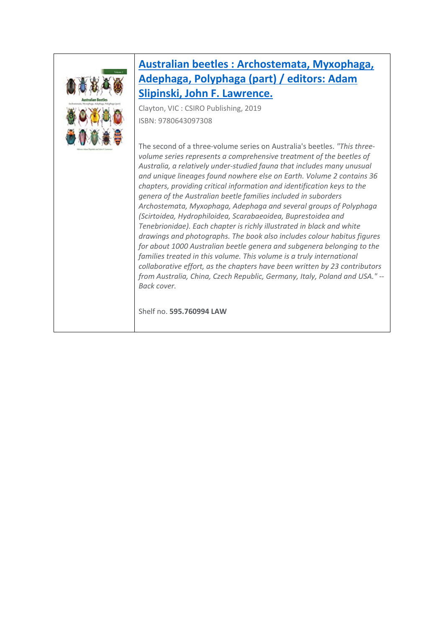

## **[Australian beetles : Archostemata, Myxophaga,](https://library.awe.gov.au/cgi-bin/koha/opac-detail.pl?biblionumber=33602)  [Adephaga, Polyphaga \(part\) /](https://library.awe.gov.au/cgi-bin/koha/opac-detail.pl?biblionumber=33602) editors: Adam [Slipinski, John F. Lawrence.](https://library.awe.gov.au/cgi-bin/koha/opac-detail.pl?biblionumber=33602)**

Clayton, VIC : CSIRO Publishing, 2019 ISBN: 9780643097308

The second of a three-volume series on Australia's beetles. *"This threevolume series represents a comprehensive treatment of the beetles of Australia, a relatively under-studied fauna that includes many unusual and unique lineages found nowhere else on Earth. Volume 2 contains 36 chapters, providing critical information and identification keys to the genera of the Australian beetle families included in suborders Archostemata, Myxophaga, Adephaga and several groups of Polyphaga (Scirtoidea, Hydrophiloidea, Scarabaeoidea, Buprestoidea and Tenebrionidae). Each chapter is richly illustrated in black and white drawings and photographs. The book also includes colour habitus figures for about 1000 Australian beetle genera and subgenera belonging to the families treated in this volume. This volume is a truly international collaborative effort, as the chapters have been written by 23 contributors from Australia, China, Czech Republic, Germany, Italy, Poland and USA." -- Back cover.*

Shelf no. **595.760994 LAW**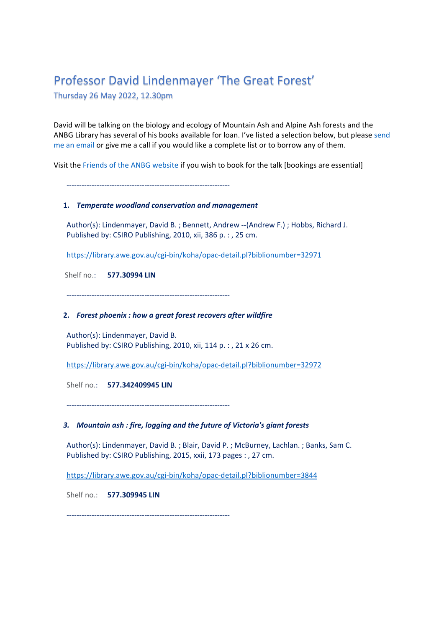## Professor David Lindenmayer 'The Great Forest'

Thursday 26 May 2022, 12.30pm

David will be talking on the biology and ecology of Mountain Ash and Alpine Ash forests and the ANBG Library has several of his books available for loan. I've listed a selection below, but please [send](mailto:anbg.library@awe.gov.au?subject=Lindenmayer%20books)  [me an email](mailto:anbg.library@awe.gov.au?subject=Lindenmayer%20books) or give me a call if you would like a complete list or to borrow any of them.

Visit the [Friends of the ANBG website](https://www.friendsanbg.org.au/node/1618) if you wish to book for the talk [bookings are essential]

-----------------------------------------------------------------

### **1.** *Temperate woodland conservation and management*

 Author(s): Lindenmayer, David B. ; Bennett, Andrew --(Andrew F.) ; Hobbs, Richard J. Published by: CSIRO Publishing, 2010, xii, 386 p. : , 25 cm.

<https://library.awe.gov.au/cgi-bin/koha/opac-detail.pl?biblionumber=32971>

Shelf no.: **577.30994 LIN**

-----------------------------------------------------------------

### **2.** *Forest phoenix : how a great forest recovers after wildfire*

 Author(s): Lindenmayer, David B. Published by: CSIRO Publishing, 2010, xii, 114 p. : , 21 x 26 cm.

<https://library.awe.gov.au/cgi-bin/koha/opac-detail.pl?biblionumber=32972>

Shelf no.: **577.342409945 LIN**

-----------------------------------------------------------------

### *3. Mountain ash : fire, logging and the future of Victoria's giant forests*

 Author(s): Lindenmayer, David B. ; Blair, David P. ; McBurney, Lachlan. ; Banks, Sam C. Published by: CSIRO Publishing, 2015, xxii, 173 pages : , 27 cm.

<https://library.awe.gov.au/cgi-bin/koha/opac-detail.pl?biblionumber=3844>

Shelf no.: **577.309945 LIN**

-----------------------------------------------------------------